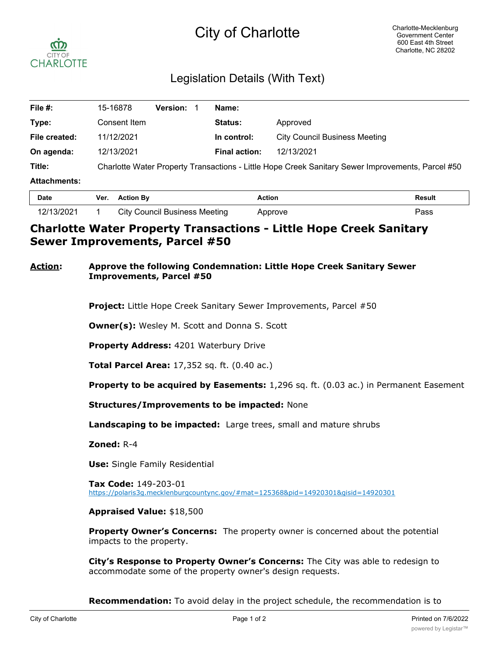# City of Charlotte



## Legislation Details (With Text)

| File #:             | <b>Version:</b><br>15-16878                                                                       |  | Name:                |                                      |
|---------------------|---------------------------------------------------------------------------------------------------|--|----------------------|--------------------------------------|
| Type:               | Consent Item                                                                                      |  | <b>Status:</b>       | Approved                             |
| File created:       | 11/12/2021                                                                                        |  | In control:          | <b>City Council Business Meeting</b> |
| On agenda:          | 12/13/2021                                                                                        |  | <b>Final action:</b> | 12/13/2021                           |
| Title:              | Charlotte Water Property Transactions - Little Hope Creek Sanitary Sewer Improvements, Parcel #50 |  |                      |                                      |
| <b>Attachments:</b> |                                                                                                   |  |                      |                                      |
| Data.               | Var Astian Du                                                                                     |  | Antinu.              | Desult.                              |

| Date       | Ver. | <b>Action By</b>                     | Action  | Result |
|------------|------|--------------------------------------|---------|--------|
| 12/13/2021 |      | <b>City Council Business Meeting</b> | Approve | ⊃ass   |

### **Charlotte Water Property Transactions - Little Hope Creek Sanitary Sewer Improvements, Parcel #50**

#### **Action: Approve the following Condemnation: Little Hope Creek Sanitary Sewer Improvements, Parcel #50**

**Project:** Little Hope Creek Sanitary Sewer Improvements, Parcel #50

**Owner(s):** Wesley M. Scott and Donna S. Scott

**Property Address:** 4201 Waterbury Drive

**Total Parcel Area:** 17,352 sq. ft. (0.40 ac.)

**Property to be acquired by Easements:** 1,296 sq. ft. (0.03 ac.) in Permanent Easement

**Structures/Improvements to be impacted:** None

**Landscaping to be impacted:** Large trees, small and mature shrubs

**Zoned:** R-4

**Use:** Single Family Residential

**Tax Code:** 149-203-01 https://polaris3g.mecklenburgcountync.gov/#mat=125368&pid=14920301&gisid=14920301

**Appraised Value:** \$18,500

**Property Owner's Concerns:** The property owner is concerned about the potential impacts to the property.

**City's Response to Property Owner's Concerns:** The City was able to redesign to accommodate some of the property owner's design requests.

**Recommendation:** To avoid delay in the project schedule, the recommendation is to